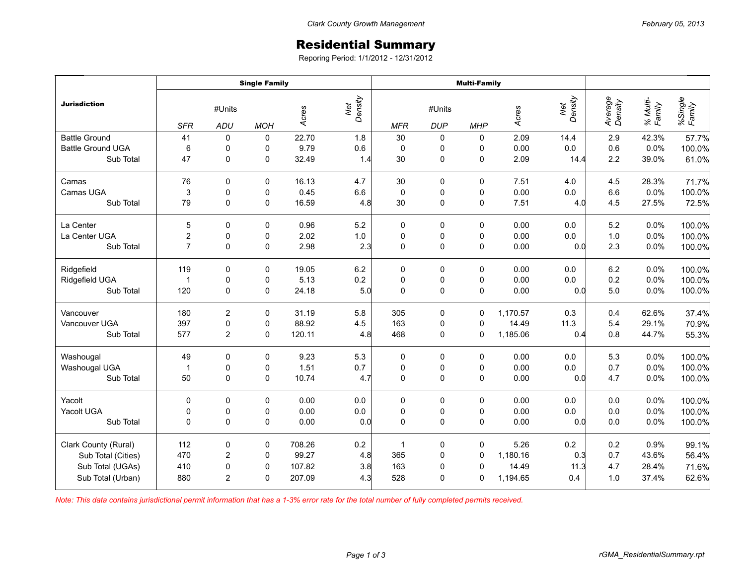## Residential Summary

Reporing Period: 1/1/2012 - 12/31/2012

|                          | <b>Single Family</b>               |                         |             |        |                | <b>Multi-Family</b> |                      |             |          |                |                    |                    |                   |
|--------------------------|------------------------------------|-------------------------|-------------|--------|----------------|---------------------|----------------------|-------------|----------|----------------|--------------------|--------------------|-------------------|
| <b>Jurisdiction</b>      | #Units<br><b>SFR</b><br><b>ADU</b> |                         | <b>MOH</b>  | Acres  | Net<br>Density | <b>MFR</b>          | #Units<br><b>DUP</b> | <b>MHP</b>  | Acres    | Density<br>Net | Average<br>Density | % Multi-<br>Family | %Single<br>Family |
| <b>Battle Ground</b>     | 41                                 | 0                       | 0           | 22.70  | 1.8            | 30                  | $\pmb{0}$            | 0           | 2.09     | 14.4           | 2.9                | 42.3%              | 57.7%             |
| <b>Battle Ground UGA</b> | 6                                  | 0                       | 0           | 9.79   | 0.6            | $\pmb{0}$           | 0                    | 0           | 0.00     | $0.0\,$        | 0.6                | 0.0%               | 100.0%            |
| Sub Total                | 47                                 | 0                       | 0           | 32.49  | 1.4            | 30                  | 0                    | 0           | 2.09     | 14.4           | 2.2                | 39.0%              | 61.0%             |
| Camas                    | 76                                 | $\mathbf 0$             | 0           | 16.13  | 4.7            | $30\,$              | 0                    | $\pmb{0}$   | 7.51     | 4.0            | 4.5                | 28.3%              | 71.7%             |
| Camas UGA                | $\mathsf 3$                        | 0                       | 0           | 0.45   | $6.6\,$        | $\mathsf 0$         | $\pmb{0}$            | 0           | 0.00     | $0.0\,$        | 6.6                | 0.0%               | 100.0%            |
| Sub Total                | 79                                 | 0                       | 0           | 16.59  | 4.8            | 30                  | 0                    | 0           | 7.51     | 4.0            | 4.5                | 27.5%              | 72.5%             |
| La Center                | 5                                  | $\mathbf 0$             | 0           | 0.96   | 5.2            | $\pmb{0}$           | 0                    | 0           | 0.00     | 0.0            | 5.2                | 0.0%               | 100.0%            |
| La Center UGA            | $\mathbf 2$                        | 0                       | 0           | 2.02   | $1.0\,$        | $\pmb{0}$           | $\pmb{0}$            | 0           | 0.00     | $0.0\,$        | $1.0$              | 0.0%               | 100.0%            |
| Sub Total                | $\overline{7}$                     | $\mathbf 0$             | $\mathbf 0$ | 2.98   | 2.3            | $\mathbf 0$         | $\pmb{0}$            | 0           | 0.00     | 0.0            | 2.3                | 0.0%               | 100.0%            |
| Ridgefield               | 119                                | $\mathbf 0$             | 0           | 19.05  | 6.2            | 0                   | $\pmb{0}$            | $\mathbf 0$ | 0.00     | 0.0            | 6.2                | 0.0%               | 100.0%            |
| Ridgefield UGA           | $\overline{1}$                     | 0                       | 0           | 5.13   | 0.2            | $\pmb{0}$           | $\mathbf 0$          | 0           | 0.00     | 0.0            | 0.2                | 0.0%               | 100.0%            |
| Sub Total                | 120                                | $\mathbf 0$             | 0           | 24.18  | 5.0            | $\mathbf 0$         | $\mathsf 0$          | 0           | 0.00     | 0.0            | 5.0                | 0.0%               | 100.0%            |
| Vancouver                | 180                                | $\sqrt{2}$              | 0           | 31.19  | 5.8            | 305                 | 0                    | 0           | 1,170.57 | 0.3            | 0.4                | 62.6%              | 37.4%             |
| Vancouver UGA            | 397                                | 0                       | 0           | 88.92  | 4.5            | 163                 | 0                    | $\mathbf 0$ | 14.49    | 11.3           | 5.4                | 29.1%              | 70.9%             |
| Sub Total                | 577                                | $\overline{2}$          | 0           | 120.11 | 4.8            | 468                 | 0                    | $\mathbf 0$ | 1,185.06 | 0.4            | 0.8                | 44.7%              | 55.3%             |
| Washougal                | 49                                 | $\mathbf 0$             | $\mathbf 0$ | 9.23   | 5.3            | $\pmb{0}$           | $\pmb{0}$            | $\pmb{0}$   | 0.00     | 0.0            | 5.3                | 0.0%               | 100.0%            |
| Washougal UGA            | $\overline{1}$                     | 0                       | 0           | 1.51   | 0.7            | $\pmb{0}$           | 0                    | 0           | 0.00     | $0.0\,$        | 0.7                | 0.0%               | 100.0%            |
| Sub Total                | 50                                 | $\mathbf{0}$            | $\Omega$    | 10.74  | 4.7            | $\Omega$            | 0                    | $\Omega$    | 0.00     | 0.0            | 4.7                | 0.0%               | 100.0%            |
| Yacolt                   | $\mathbf 0$                        | 0                       | 0           | 0.00   | 0.0            | $\pmb{0}$           | 0                    | $\pmb{0}$   | 0.00     | 0.0            | 0.0                | 0.0%               | 100.0%            |
| Yacolt UGA               | 0                                  | 0                       | 0           | 0.00   | $0.0\,$        | $\pmb{0}$           | $\pmb{0}$            | $\pmb{0}$   | 0.00     | 0.0            | $0.0\,$            | 0.0%               | 100.0%            |
| Sub Total                | $\Omega$                           | $\mathbf{0}$            | $\mathbf 0$ | 0.00   | 0.0            | $\Omega$            | 0                    | $\mathbf 0$ | 0.00     | 0.0            | 0.0                | 0.0%               | 100.0%            |
| Clark County (Rural)     | 112                                | $\mathbf 0$             | 0           | 708.26 | 0.2            | $\mathbf{1}$        | 0                    | $\mathbf 0$ | 5.26     | 0.2            | 0.2                | 0.9%               | 99.1%             |
| Sub Total (Cities)       | 470                                | $\overline{\mathbf{c}}$ | 0           | 99.27  | 4.8            | 365                 | $\pmb{0}$            | 0           | 1,180.16 | 0.3            | 0.7                | 43.6%              | 56.4%             |
| Sub Total (UGAs)         | 410                                | 0                       | 0           | 107.82 | 3.8            | 163                 | $\mathbf 0$          | $\mathbf 0$ | 14.49    | 11.3           | 4.7                | 28.4%              | 71.6%             |
| Sub Total (Urban)        | 880                                | 2                       | 0           | 207.09 | 4.3            | 528                 | 0                    | 0           | 1,194.65 | 0.4            | 1.0                | 37.4%              | 62.6%             |

*Note: This data contains jurisdictional permit information that has a 1-3% error rate for the total number of fully completed permits received.*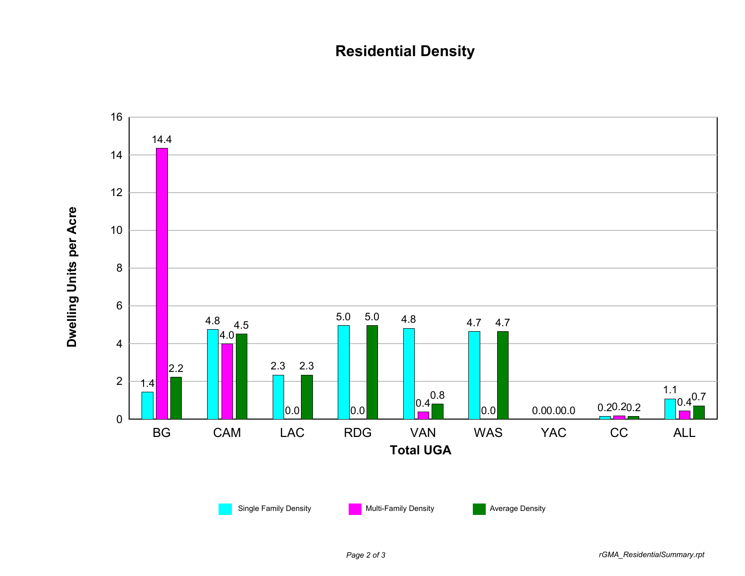## **Residential Density**

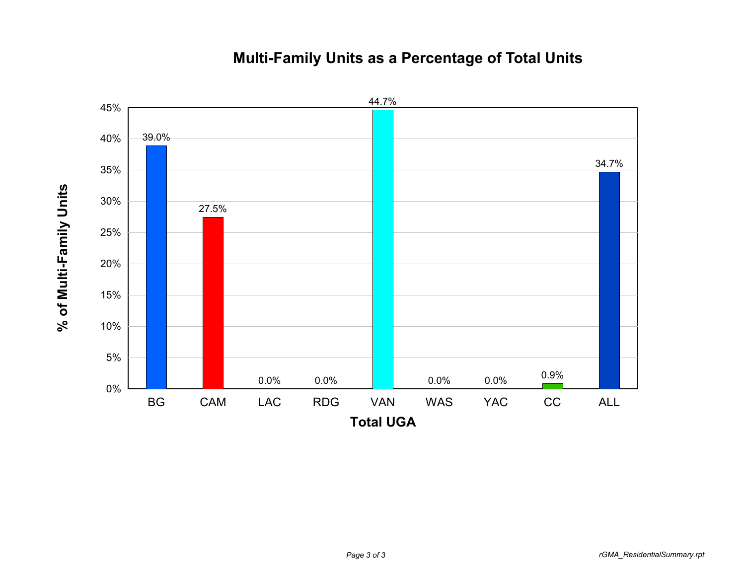## 5% 10% 15% 20% 25% 30% 35% 40% 45% 39.0% 27.5% 44.7% 34.7%

0%

**% of Multi-Family Units**

% of Multi-Family Units

## **Multi-Family Units as a Percentage of Total Units**

BG CAM LAC RDG VAN WAS YAC CC ALL

**Total UGA**

0.0% 0.0% 0.9%

0.0% 0.0%